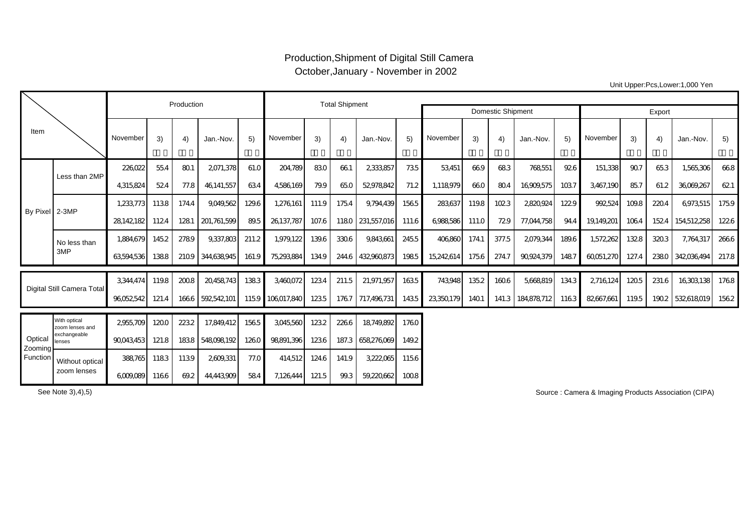## Production,Shipment of Digital Still Camera October,January - November in 2002

Unit Upper:Pcs,Lower:1,000 Yen

|                                |                                                 |            | Production |       | <b>Total Shipment</b> |       |                 |       |             |                          |        |            |       |       |                   |       |            |       |       |             |       |
|--------------------------------|-------------------------------------------------|------------|------------|-------|-----------------------|-------|-----------------|-------|-------------|--------------------------|--------|------------|-------|-------|-------------------|-------|------------|-------|-------|-------------|-------|
|                                |                                                 |            |            |       |                       |       |                 |       |             | <b>Domestic Shipment</b> | Export |            |       |       |                   |       |            |       |       |             |       |
| Item                           |                                                 | November   | 3)         | 4)    | Jan.-Nov.             | 5)    | November        | 3)    | $ 4\rangle$ | Jan.-Nov.                | 5)     | November   | 3)    | 4)    | Jan.-Nov.         | 5)    | November   | 3)    | 4)    | Jan.-Nov.   | 5)    |
| By Pixel 2-3MP                 | Less than 2MP                                   | 226022     | 55.4       | 801   | 2071,378              | 61.0  | 204,789         | 830   | 661         | 2333857                  | 735    | 53,451     | 669   | 683   | 768551            | 926   | 151,338    | 907   | 653   | 1,565,306   | 668   |
|                                |                                                 | 4,315,824  | 524        | 77.8  | 46,141,557            | 634   | 4586169         | 79.9  | 65.0        | 52978842                 | 71.2   | 1,118,979  | 660   | 804   | 16909,575         | 1037  | 3,467,190  | 857   | 61.2  | 36069,267   | 621   |
|                                |                                                 | 1,233,773  | 1138       | 174.4 | 9.049.562             | 129.6 | 1,276,161       | 111.9 | 1754        | 9,794,439                | 1565   | 283,637    | 119.8 | 1023  | 2820924           | 1229  | 992524     | 109.8 | 220.4 | 6973,515    | 1759  |
|                                |                                                 | 28,142,182 | 1124       | 1281  | 201,761,599           | 89.5  | 26137.787       | 107.6 |             | 1180 231,557,016         | 111.6  | 6,988,586  | 111.0 | 729   | 77,044,758        | 94.4  | 19,149,201 | 1064  | 1524  | 154,512,258 | 1226  |
|                                | No less than                                    | 1.884.679  | 145.2      | 2789  | 9,337,803             | 211.2 | 1,979,122       | 139.6 | 3306        | 9,843,661                | 2455   | 406860     | 174.1 | 377.5 | 2079,344          | 189.6 | 1,572,262  | 1328  | 3203  | 7,764,317   | 2666  |
|                                | 3MP                                             | 63,594,536 | 1388       | 2109  | 344,638,945           | 161.9 | 75,293,884      | 134.9 | 244.6       | 432960873                | 1985   | 15,242,614 | 1756  | 274.7 | 90,924,379        | 1487  | 60051,270  | 127.4 | 2380  | 342036494   | 217.8 |
| Digital Still Camera Total     |                                                 | 3.344.474  | 119.8      | 2008  | 20458743              | 1383  | 3460072         | 1234  | 211.5       | 21,971,957               | 1635   | 743948     | 135.2 | 1606  | 5.668819          | 134.3 | 2716124    | 1205  | 231.6 | 16303138    | 1768  |
|                                |                                                 | 96052542   | 121.4      |       | 1666 592542101        |       | 1159 106017.840 | 1235  |             | 1767 717.496731          | 1435   | 23,350,179 | 1401  |       | 141.3 184,878,712 | 1163  | 82667,661  | 119.5 | 1902  | 532618019   | 1562  |
| Optical<br>Zooming<br>Function | With optical<br>zoom lenses and<br>exchangeable | 2955.709   | 1200       | 2232  | 17.849.412            | 1565  | 3045560         | 1232  | 2266        | 18749.892                | 1760   |            |       |       |                   |       |            |       |       |             |       |
|                                | lenses                                          | 90043,453  | 121.8      | 1838  | 548098192             | 1260  | 98891.396       | 1236  |             | 187.3 658,276,069        | 149.2  |            |       |       |                   |       |            |       |       |             |       |
|                                | Without optical<br>zoom lenses                  | 388765     | 1183       | 1139  | 2609,331              | 77.0  | 414,512         | 124.6 | 141.9       | 3,222,065                | 1156   |            |       |       |                   |       |            |       |       |             |       |
|                                |                                                 | 6,009,089  | 1166       | 69.2  | 44,443,909            | 584   | 7,126,444       | 121.5 | 99.3        | 59,220,662               | 1008   |            |       |       |                   |       |            |       |       |             |       |

See Note 3),4),5)

Source : Camera & Imaging Products Association (CIPA)